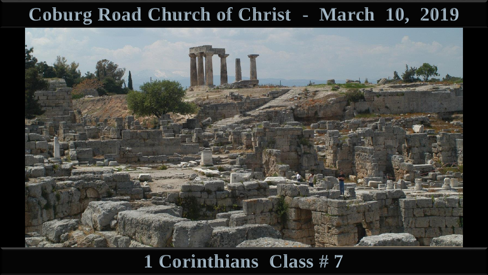#### **Coburg Road Church of Christ - March 10, 2019**



#### **1 Corinthians Class # 7**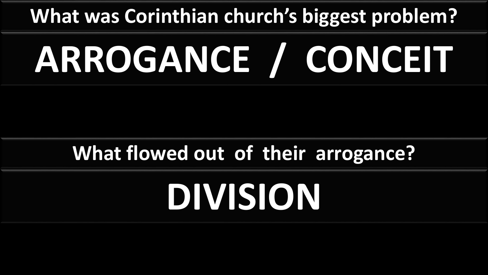## **What was Corinthian church's biggest problem?**

# **ARROGANCE / CONCEIT**

### **What flowed out of their arrogance?**

# **DIVISION**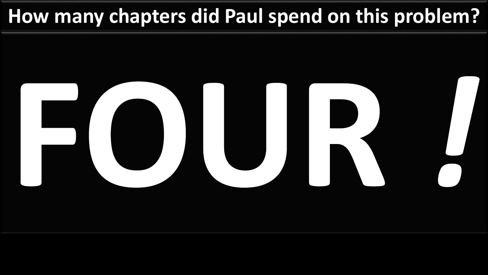### **How many chapters did Paul spend on this problem?**

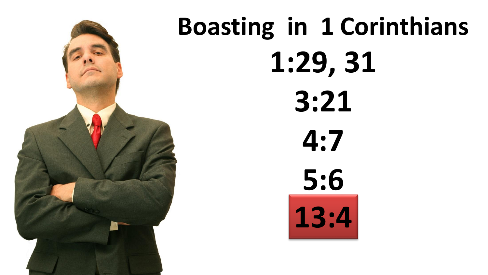![](_page_3_Picture_0.jpeg)

# **Boasting in 1 Corinthians 1:29, 31 3:21 4:7 5:6 13:4**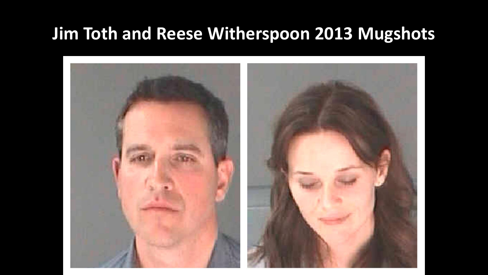#### **Jim Toth and Reese Witherspoon 2013 Mugshots**

![](_page_4_Picture_1.jpeg)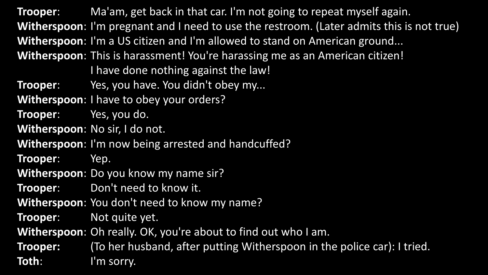**Trooper**: Ma'am, get back in that car. I'm not going to repeat myself again. **Witherspoon**: I'm pregnant and I need to use the restroom. (Later admits this is not true) **Witherspoon**: I'm a US citizen and I'm allowed to stand on American ground... **Witherspoon**: This is harassment! You're harassing me as an American citizen! I have done nothing against the law! **Trooper**: Yes, you have. You didn't obey my... **Witherspoon**: I have to obey your orders? **Trooper**: Yes, you do. **Witherspoon**: No sir, I do not. **Witherspoon**: I'm now being arrested and handcuffed? **Trooper**: Yep. **Witherspoon**: Do you know my name sir? **Trooper:** Don't need to know it. **Witherspoon**: You don't need to know my name? **Trooper**: Not quite yet. **Witherspoon**: Oh really. OK, you're about to find out who I am. **Trooper:** (To her husband, after putting Witherspoon in the police car): I tried. **Toth**: I'm sorry.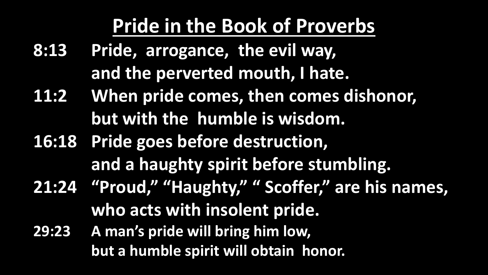### **Pride in the Book of Proverbs**

- **8:13 Pride, arrogance, the evil way, and the perverted mouth, I hate.**
- **11:2 When pride comes, then comes dishonor, but with the humble is wisdom.**
- **16:18 Pride goes before destruction, and a haughty spirit before stumbling. 21:24 "Proud," "Haughty," " Scoffer," are his names, who acts with insolent pride.**
- **29:23 A man's pride will bring him low, but a humble spirit will obtain honor.**